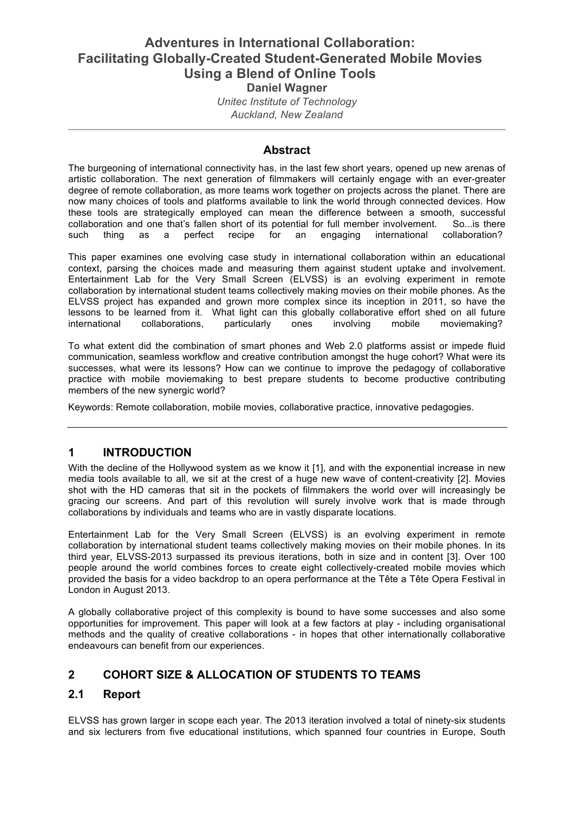# **Adventures in International Collaboration: Facilitating Globally-Created Student-Generated Mobile Movies Using a Blend of Online Tools Daniel Wagner**

*Unitec Institute of Technology Auckland, New Zealand*

#### **Abstract**

The burgeoning of international connectivity has, in the last few short years, opened up new arenas of artistic collaboration. The next generation of filmmakers will certainly engage with an ever-greater degree of remote collaboration, as more teams work together on projects across the planet. There are now many choices of tools and platforms available to link the world through connected devices. How these tools are strategically employed can mean the difference between a smooth, successful collaboration and one that's fallen short of its potential for full member involvement. So...is there such thing as a perfect recipe for an engaging international collaboration?

This paper examines one evolving case study in international collaboration within an educational context, parsing the choices made and measuring them against student uptake and involvement. Entertainment Lab for the Very Small Screen (ELVSS) is an evolving experiment in remote collaboration by international student teams collectively making movies on their mobile phones. As the ELVSS project has expanded and grown more complex since its inception in 2011, so have the lessons to be learned from it. What light can this globally collaborative effort shed on all future international collaborations, particularly ones involving mobile moviemaking?

To what extent did the combination of smart phones and Web 2.0 platforms assist or impede fluid communication, seamless workflow and creative contribution amongst the huge cohort? What were its successes, what were its lessons? How can we continue to improve the pedagogy of collaborative practice with mobile moviemaking to best prepare students to become productive contributing members of the new synergic world?

Keywords: Remote collaboration, mobile movies, collaborative practice, innovative pedagogies.

#### **1 INTRODUCTION**

With the decline of the Hollywood system as we know it [1], and with the exponential increase in new media tools available to all, we sit at the crest of a huge new wave of content-creativity [2]. Movies shot with the HD cameras that sit in the pockets of filmmakers the world over will increasingly be gracing our screens. And part of this revolution will surely involve work that is made through collaborations by individuals and teams who are in vastly disparate locations.

Entertainment Lab for the Very Small Screen (ELVSS) is an evolving experiment in remote collaboration by international student teams collectively making movies on their mobile phones. In its third year, ELVSS-2013 surpassed its previous iterations, both in size and in content [3]. Over 100 people around the world combines forces to create eight collectively-created mobile movies which provided the basis for a video backdrop to an opera performance at the Tête a Tête Opera Festival in London in August 2013.

A globally collaborative project of this complexity is bound to have some successes and also some opportunities for improvement. This paper will look at a few factors at play - including organisational methods and the quality of creative collaborations - in hopes that other internationally collaborative endeavours can benefit from our experiences.

# **2 COHORT SIZE & ALLOCATION OF STUDENTS TO TEAMS**

#### **2.1 Report**

ELVSS has grown larger in scope each year. The 2013 iteration involved a total of ninety-six students and six lecturers from five educational institutions, which spanned four countries in Europe, South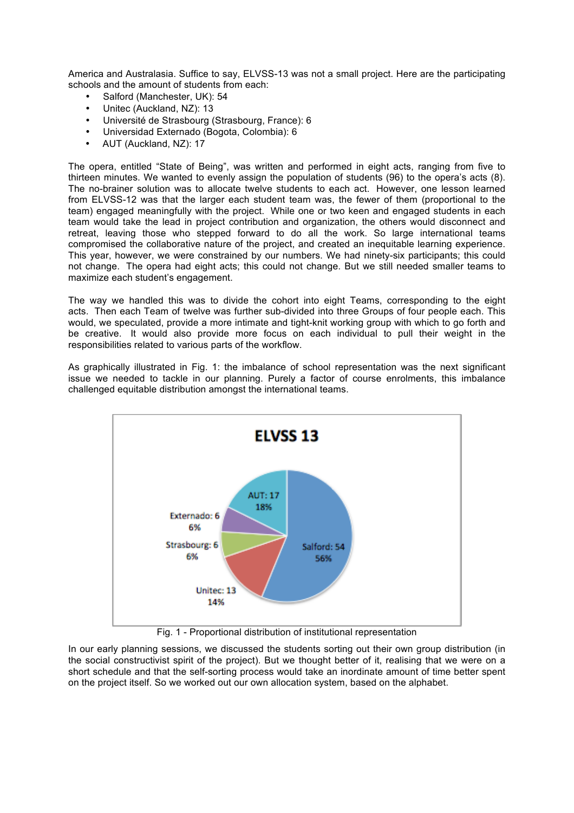America and Australasia. Suffice to say, ELVSS-13 was not a small project. Here are the participating schools and the amount of students from each:

- Salford (Manchester, UK): 54
- Unitec (Auckland, NZ): 13
- Université de Strasbourg (Strasbourg, France): 6
- Universidad Externado (Bogota, Colombia): 6
- AUT (Auckland, NZ): 17

The opera, entitled "State of Being", was written and performed in eight acts, ranging from five to thirteen minutes. We wanted to evenly assign the population of students (96) to the opera's acts (8). The no-brainer solution was to allocate twelve students to each act. However, one lesson learned from ELVSS-12 was that the larger each student team was, the fewer of them (proportional to the team) engaged meaningfully with the project. While one or two keen and engaged students in each team would take the lead in project contribution and organization, the others would disconnect and retreat, leaving those who stepped forward to do all the work. So large international teams compromised the collaborative nature of the project, and created an inequitable learning experience. This year, however, we were constrained by our numbers. We had ninety-six participants; this could not change. The opera had eight acts; this could not change. But we still needed smaller teams to maximize each student's engagement.

The way we handled this was to divide the cohort into eight Teams, corresponding to the eight acts. Then each Team of twelve was further sub-divided into three Groups of four people each. This would, we speculated, provide a more intimate and tight-knit working group with which to go forth and be creative. It would also provide more focus on each individual to pull their weight in the responsibilities related to various parts of the workflow.

As graphically illustrated in Fig. 1: the imbalance of school representation was the next significant issue we needed to tackle in our planning. Purely a factor of course enrolments, this imbalance challenged equitable distribution amongst the international teams.



Fig. 1 - Proportional distribution of institutional representation

In our early planning sessions, we discussed the students sorting out their own group distribution (in the social constructivist spirit of the project). But we thought better of it, realising that we were on a short schedule and that the self-sorting process would take an inordinate amount of time better spent on the project itself. So we worked out our own allocation system, based on the alphabet.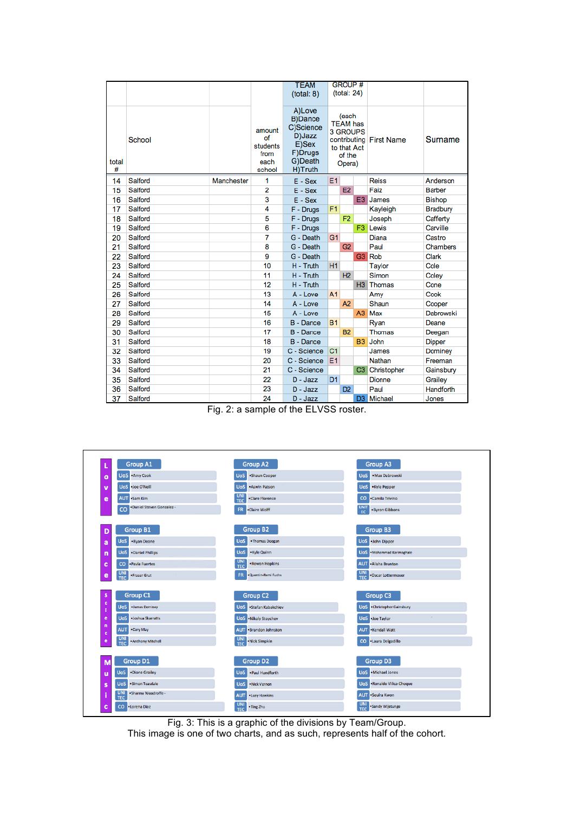|            |         |            |                                                    | <b>TEAM</b><br>(total: 8)                                                                 |                | <b>GROUP#</b><br>(total: 24)                                            |                |                         |                 |
|------------|---------|------------|----------------------------------------------------|-------------------------------------------------------------------------------------------|----------------|-------------------------------------------------------------------------|----------------|-------------------------|-----------------|
| total<br># | School  |            | amount<br>of<br>students<br>from<br>each<br>school | A)Love<br><b>B)Dance</b><br>C)Science<br>D)Jazz<br>E)Sex<br>F)Drugs<br>G)Death<br>H)Truth |                | (each<br><b>TEAM has</b><br>3 GROUPS<br>to that Act<br>of the<br>Opera) |                | contributing First Name | Surname         |
| 14         | Salford | Manchester | 1                                                  | $E - Sex$                                                                                 | E <sub>1</sub> |                                                                         |                | <b>Reiss</b>            | Anderson        |
| 15         | Salford |            | 2                                                  | $E - Sex$                                                                                 |                | <b>E2</b>                                                               |                | Faiz                    | <b>Barber</b>   |
| 16         | Salford |            | 3                                                  | $E - Sex$                                                                                 |                |                                                                         | E <sub>3</sub> | James                   | <b>Bishop</b>   |
| 17         | Salford |            | 4                                                  | F - Drugs                                                                                 | F1             |                                                                         |                | Kayleigh                | <b>Bradbury</b> |
| 18         | Salford |            | 5                                                  | F - Drugs                                                                                 |                | F <sub>2</sub>                                                          |                | Joseph                  | Cafferty        |
| 19         | Salford |            | 6                                                  | F - Drugs                                                                                 |                |                                                                         | F3             | Lewis                   | Carville        |
| 20         | Salford |            | 7                                                  | G - Death                                                                                 | G <sub>1</sub> |                                                                         |                | Diana                   | Castro          |
| 21         | Salford |            | 8                                                  | G - Death                                                                                 |                | G2                                                                      |                | Paul                    | Chambers        |
| 22         | Salford |            | 9                                                  | G - Death                                                                                 |                |                                                                         | G3             | Rob                     | Clark           |
| 23         | Salford |            | 10                                                 | H - Truth                                                                                 | H1             |                                                                         |                | <b>Taylor</b>           | Cole            |
| 24         | Salford |            | 11                                                 | H - Truth                                                                                 |                | H <sub>2</sub>                                                          |                | Simon                   | Coley           |
| 25         | Salford |            | 12                                                 | H - Truth                                                                                 |                |                                                                         | H3             | <b>Thomas</b>           | Cone            |
| 26         | Salford |            | 13                                                 | $A - Love$                                                                                | A <sub>1</sub> |                                                                         |                | Amy                     | Cook            |
| 27         | Salford |            | 14                                                 | A - Love                                                                                  |                | A2                                                                      |                | Shaun                   | Cooper          |
| 28         | Salford |            | 15                                                 | A - Love                                                                                  |                |                                                                         | A3             | Max                     | Dabrowski       |
| 29         | Salford |            | 16                                                 | B - Dance                                                                                 | <b>B1</b>      |                                                                         |                | Ryan                    | Deane           |
| 30         | Salford |            | 17                                                 | B - Dance                                                                                 |                | <b>B2</b>                                                               |                | <b>Thomas</b>           | Deegan          |
| 31         | Salford |            | 18                                                 | <b>B</b> - Dance                                                                          |                |                                                                         | <b>B3</b>      | John                    | <b>Dipper</b>   |
| 32         | Salford |            | 19                                                 | C - Science                                                                               | C <sub>1</sub> |                                                                         |                | James                   | Dominey         |
| 33         | Salford |            | 20                                                 | C - Science                                                                               | E <sub>1</sub> |                                                                         |                | Nathan                  | Freeman         |
| 34         | Salford |            | 21                                                 | C - Science                                                                               |                |                                                                         | C3             | Christopher             | Gainsbury       |
| 35         | Salford |            | 22                                                 | $D -$ Jazz                                                                                | D <sub>1</sub> |                                                                         |                | <b>Dionne</b>           | Grailey         |
| 36         | Salford |            | 23                                                 | $D -$ Jazz                                                                                |                | D <sub>2</sub>                                                          |                | Paul                    | Handforth       |
| 37         | Salford |            | 24                                                 | $D -$ Jazz                                                                                |                |                                                                         |                | D3 Michael              | Jones           |

Fig. 2: a sample of the ELVSS roster.

| <b>Group A1</b><br>τ                                     | <b>Group A2</b>                             | <b>Group A3</b>                                |
|----------------------------------------------------------|---------------------------------------------|------------------------------------------------|
| <b>UoS</b> . Amy Cook<br>$\mathbf{o}$                    | .Shaun Cooper<br><b>UoS</b>                 | ·Max Dabrowski<br><b>UoS</b>                   |
| ·Joe O'Neill<br><b>UoS</b><br>Ŋ                          | .Aswin Patson<br><b>UoS</b>                 | <b>UoS</b><br>.Kyle Pepper                     |
| <b>AUT</b><br>Sam Kim<br>e                               | <b>UNI</b><br>.Clare Florence<br><b>TEC</b> | $\mathsf{co}$<br>.Camila Trivino               |
| ·Daniel Steven Gonzalez -<br>$_{\rm CO}$                 | . Claire Wolff<br><b>FR</b>                 | <b>UNIT</b><br>. Byron Gibbons<br>EC           |
|                                                          |                                             |                                                |
| <b>Group B1</b><br>D                                     | <b>Group B2</b>                             | <b>Group B3</b>                                |
| . Ryan Deane<br><b>UoS</b><br>a                          | . Thomas Deegan<br><b>UoS</b>               | <b>UoS</b> •John Dipper                        |
| <b>UoS</b><br>. Daniel Phillips<br>'n                    | .Kyle Quinn<br><b>UoS</b>                   | <b>UoS</b> . Mohammad Karimaghaie              |
| ·Pavla Fuertes<br>c<br>co                                | <b>UNI</b><br>.Rowan Hopkins<br><b>TEC</b>  | <b>AUT</b><br>. Alisha Brunton                 |
| <b>UNI</b><br>· Fraser Grut<br>e<br>$\sim$<br><b>TEC</b> | FR.<br>· Quentin-Remi Fuchs                 | <b>UNI</b><br>.Oscar Lottermoser<br><b>TEC</b> |
|                                                          |                                             |                                                |
| Group C1<br>s                                            | Group C <sub>2</sub>                        | Group <sub>C3</sub>                            |
| c<br><b>UoS</b><br>· James Dominey<br>J.                 | <b>UoS</b><br>·Stefan Kabakchiev            | <b>UoS</b> . Christopher Gainsbury             |
| <b>UoS</b><br>· Joshua Skarratts<br>e                    | <b>UoS</b> . Nikoly Stoychev                | <b>UoS</b> Joe Taylor                          |
| n<br><b>AUT</b><br>. Cory May<br>c                       | . Brandon Johnston<br><b>AUT</b>            | <b>AUT</b> . Kendall Watt                      |
| UNI<br>. Anthony Mitchell<br>e<br><b>TEC</b>             | UNI<br>· Nick Simpkin<br><b>TEC</b>         | ·Laura Delgadillo<br>$\infty$                  |
|                                                          |                                             |                                                |
| <b>Group D1</b><br>M                                     | Group D <sub>2</sub>                        | <b>Group D3</b>                                |
| .Dione Grailey<br><b>UoS</b><br>u                        | .Paul Handforth<br><b>UoS</b>               | UoS .Michael Jones                             |
| · Simon Teasdale<br><b>UoS</b><br>s                      | · Nick Vernon<br><b>UoS</b>                 | <b>UoS</b> .Ronaldo Villca-Choque              |
| <b>UNI</b><br>· Sharma Woodroffe -<br>î<br><b>TEC</b>    | . Lusy Hawkins<br><b>AUT</b>                | ·Seulra Kwon<br><b>AUT</b>                     |
| · Lorena Diaz<br>c<br>co                                 | UNI<br>. Ting Zhu<br><b>TEC</b>             | <b>UNI</b><br>· Sandy Wijetunge<br><b>TEC</b>  |

Fig. 3: This is a graphic of the divisions by Team/Group.

This image is one of two charts, and as such, represents half of the cohort.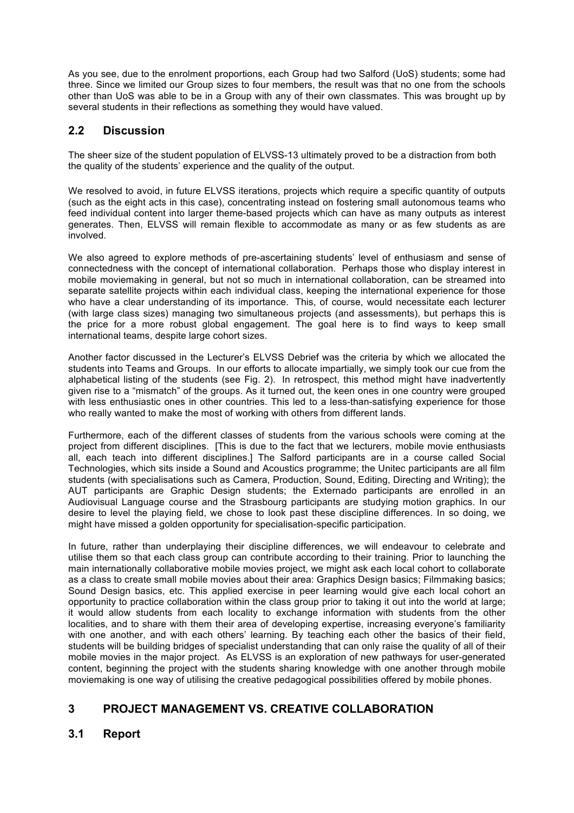As you see, due to the enrolment proportions, each Group had two Salford (UoS) students; some had three. Since we limited our Group sizes to four members, the result was that no one from the schools other than UoS was able to be in a Group with any of their own classmates. This was brought up by several students in their reflections as something they would have valued.

## **2.2 Discussion**

The sheer size of the student population of ELVSS-13 ultimately proved to be a distraction from both the quality of the students' experience and the quality of the output.

We resolved to avoid, in future ELVSS iterations, projects which require a specific quantity of outputs (such as the eight acts in this case), concentrating instead on fostering small autonomous teams who feed individual content into larger theme-based projects which can have as many outputs as interest generates. Then, ELVSS will remain flexible to accommodate as many or as few students as are involved.

We also agreed to explore methods of pre-ascertaining students' level of enthusiasm and sense of connectedness with the concept of international collaboration. Perhaps those who display interest in mobile moviemaking in general, but not so much in international collaboration, can be streamed into separate satellite projects within each individual class, keeping the international experience for those who have a clear understanding of its importance. This, of course, would necessitate each lecturer (with large class sizes) managing two simultaneous projects (and assessments), but perhaps this is the price for a more robust global engagement. The goal here is to find ways to keep small international teams, despite large cohort sizes.

Another factor discussed in the Lecturer's ELVSS Debrief was the criteria by which we allocated the students into Teams and Groups. In our efforts to allocate impartially, we simply took our cue from the alphabetical listing of the students (see Fig. 2). In retrospect, this method might have inadvertently given rise to a "mismatch" of the groups. As it turned out, the keen ones in one country were grouped with less enthusiastic ones in other countries. This led to a less-than-satisfying experience for those who really wanted to make the most of working with others from different lands.

Furthermore, each of the different classes of students from the various schools were coming at the project from different disciplines. [This is due to the fact that we lecturers, mobile movie enthusiasts all, each teach into different disciplines.] The Salford participants are in a course called Social Technologies, which sits inside a Sound and Acoustics programme; the Unitec participants are all film students (with specialisations such as Camera, Production, Sound, Editing, Directing and Writing); the AUT participants are Graphic Design students; the Externado participants are enrolled in an Audiovisual Language course and the Strasbourg participants are studying motion graphics. In our desire to level the playing field, we chose to look past these discipline differences. In so doing, we might have missed a golden opportunity for specialisation-specific participation.

In future, rather than underplaying their discipline differences, we will endeavour to celebrate and utilise them so that each class group can contribute according to their training. Prior to launching the main internationally collaborative mobile movies project, we might ask each local cohort to collaborate as a class to create small mobile movies about their area: Graphics Design basics; Filmmaking basics; Sound Design basics, etc. This applied exercise in peer learning would give each local cohort an opportunity to practice collaboration within the class group prior to taking it out into the world at large; it would allow students from each locality to exchange information with students from the other localities, and to share with them their area of developing expertise, increasing everyone's familiarity with one another, and with each others' learning. By teaching each other the basics of their field, students will be building bridges of specialist understanding that can only raise the quality of all of their mobile movies in the major project. As ELVSS is an exploration of new pathways for user-generated content, beginning the project with the students sharing knowledge with one another through mobile moviemaking is one way of utilising the creative pedagogical possibilities offered by mobile phones.

# **3 PROJECT MANAGEMENT VS. CREATIVE COLLABORATION**

# **3.1 Report**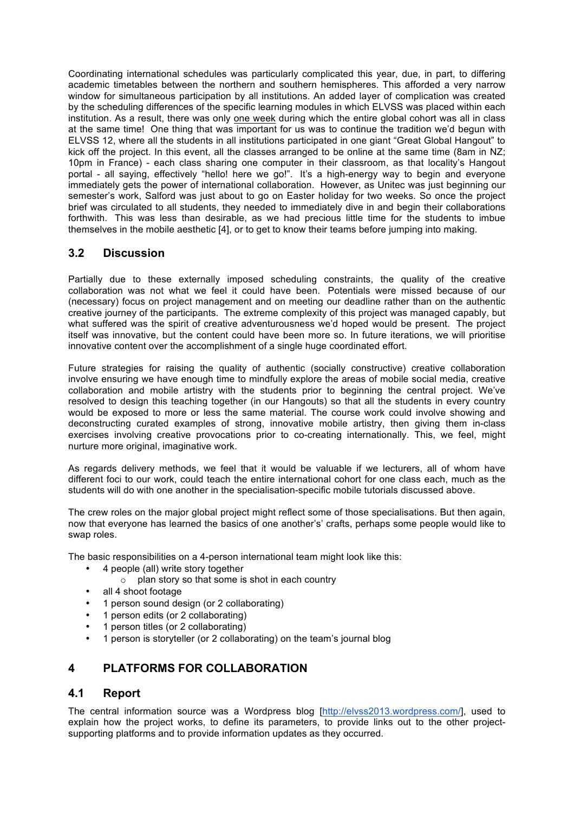Coordinating international schedules was particularly complicated this year, due, in part, to differing academic timetables between the northern and southern hemispheres. This afforded a very narrow window for simultaneous participation by all institutions. An added layer of complication was created by the scheduling differences of the specific learning modules in which ELVSS was placed within each institution. As a result, there was only one week during which the entire global cohort was all in class at the same time! One thing that was important for us was to continue the tradition we'd begun with ELVSS 12, where all the students in all institutions participated in one giant "Great Global Hangout" to kick off the project. In this event, all the classes arranged to be online at the same time (8am in NZ; 10pm in France) - each class sharing one computer in their classroom, as that locality's Hangout portal - all saying, effectively "hello! here we go!". It's a high-energy way to begin and everyone immediately gets the power of international collaboration. However, as Unitec was just beginning our semester's work, Salford was just about to go on Easter holiday for two weeks. So once the project brief was circulated to all students, they needed to immediately dive in and begin their collaborations forthwith. This was less than desirable, as we had precious little time for the students to imbue themselves in the mobile aesthetic [4], or to get to know their teams before jumping into making.

## **3.2 Discussion**

Partially due to these externally imposed scheduling constraints, the quality of the creative collaboration was not what we feel it could have been. Potentials were missed because of our (necessary) focus on project management and on meeting our deadline rather than on the authentic creative journey of the participants. The extreme complexity of this project was managed capably, but what suffered was the spirit of creative adventurousness we'd hoped would be present. The project itself was innovative, but the content could have been more so. In future iterations, we will prioritise innovative content over the accomplishment of a single huge coordinated effort.

Future strategies for raising the quality of authentic (socially constructive) creative collaboration involve ensuring we have enough time to mindfully explore the areas of mobile social media, creative collaboration and mobile artistry with the students prior to beginning the central project. We've resolved to design this teaching together (in our Hangouts) so that all the students in every country would be exposed to more or less the same material. The course work could involve showing and deconstructing curated examples of strong, innovative mobile artistry, then giving them in-class exercises involving creative provocations prior to co-creating internationally. This, we feel, might nurture more original, imaginative work.

As regards delivery methods, we feel that it would be valuable if we lecturers, all of whom have different foci to our work, could teach the entire international cohort for one class each, much as the students will do with one another in the specialisation-specific mobile tutorials discussed above.

The crew roles on the major global project might reflect some of those specialisations. But then again, now that everyone has learned the basics of one another's' crafts, perhaps some people would like to swap roles.

The basic responsibilities on a 4-person international team might look like this:

- 4 people (all) write story together
	- $\circ$  plan story so that some is shot in each country
- all 4 shoot footage
- 1 person sound design (or 2 collaborating)
- 1 person edits (or 2 collaborating)
- 1 person titles (or 2 collaborating)
- 1 person is storyteller (or 2 collaborating) on the team's journal blog

### **4 PLATFORMS FOR COLLABORATION**

#### **4.1 Report**

The central information source was a Wordpress blog [http://elvss2013.wordpress.com/], used to explain how the project works, to define its parameters, to provide links out to the other projectsupporting platforms and to provide information updates as they occurred.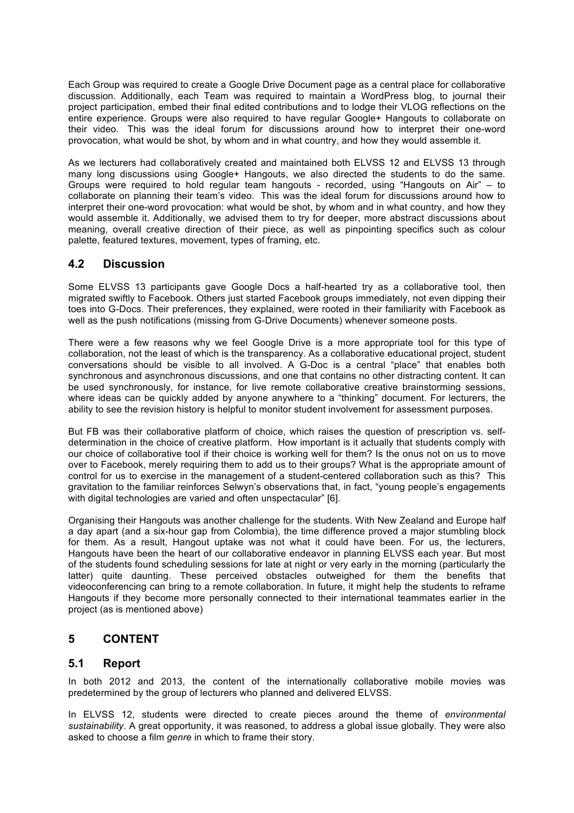Each Group was required to create a Google Drive Document page as a central place for collaborative discussion. Additionally, each Team was required to maintain a WordPress blog, to journal their project participation, embed their final edited contributions and to lodge their VLOG reflections on the entire experience. Groups were also required to have regular Google+ Hangouts to collaborate on their video. This was the ideal forum for discussions around how to interpret their one-word provocation, what would be shot, by whom and in what country, and how they would assemble it.

As we lecturers had collaboratively created and maintained both ELVSS 12 and ELVSS 13 through many long discussions using Google+ Hangouts, we also directed the students to do the same. Groups were required to hold regular team hangouts - recorded, using "Hangouts on Air" – to collaborate on planning their team's video. This was the ideal forum for discussions around how to interpret their one-word provocation: what would be shot, by whom and in what country, and how they would assemble it. Additionally, we advised them to try for deeper, more abstract discussions about meaning, overall creative direction of their piece, as well as pinpointing specifics such as colour palette, featured textures, movement, types of framing, etc.

### **4.2 Discussion**

Some ELVSS 13 participants gave Google Docs a half-hearted try as a collaborative tool, then migrated swiftly to Facebook. Others just started Facebook groups immediately, not even dipping their toes into G-Docs. Their preferences, they explained, were rooted in their familiarity with Facebook as well as the push notifications (missing from G-Drive Documents) whenever someone posts.

There were a few reasons why we feel Google Drive is a more appropriate tool for this type of collaboration, not the least of which is the transparency. As a collaborative educational project, student conversations should be visible to all involved. A G-Doc is a central "place" that enables both synchronous and asynchronous discussions, and one that contains no other distracting content. It can be used synchronously, for instance, for live remote collaborative creative brainstorming sessions, where ideas can be quickly added by anyone anywhere to a "thinking" document. For lecturers, the ability to see the revision history is helpful to monitor student involvement for assessment purposes.

But FB was their collaborative platform of choice, which raises the question of prescription vs. selfdetermination in the choice of creative platform. How important is it actually that students comply with our choice of collaborative tool if their choice is working well for them? Is the onus not on us to move over to Facebook, merely requiring them to add us to their groups? What is the appropriate amount of control for us to exercise in the management of a student-centered collaboration such as this? This gravitation to the familiar reinforces Selwyn's observations that, in fact, "young people's engagements with digital technologies are varied and often unspectacular" [6].

Organising their Hangouts was another challenge for the students. With New Zealand and Europe half a day apart (and a six-hour gap from Colombia), the time difference proved a major stumbling block for them. As a result, Hangout uptake was not what it could have been. For us, the lecturers, Hangouts have been the heart of our collaborative endeavor in planning ELVSS each year. But most of the students found scheduling sessions for late at night or very early in the morning (particularly the latter) quite daunting. These perceived obstacles outweighed for them the benefits that videoconferencing can bring to a remote collaboration. In future, it might help the students to reframe Hangouts if they become more personally connected to their international teammates earlier in the project (as is mentioned above)

### **5 CONTENT**

#### **5.1 Report**

In both 2012 and 2013, the content of the internationally collaborative mobile movies was predetermined by the group of lecturers who planned and delivered ELVSS.

In ELVSS 12, students were directed to create pieces around the theme of *environmental sustainability*. A great opportunity, it was reasoned, to address a global issue globally. They were also asked to choose a film *genre* in which to frame their story.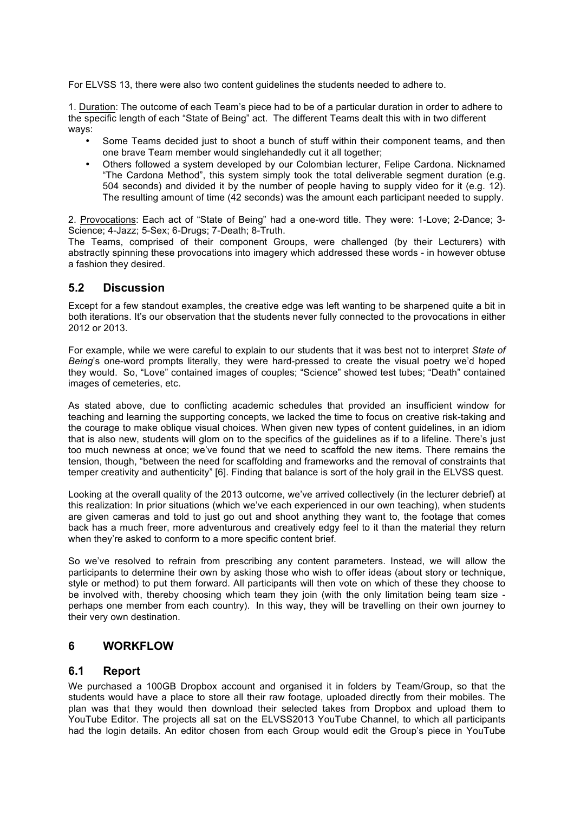For ELVSS 13, there were also two content guidelines the students needed to adhere to.

1. Duration: The outcome of each Team's piece had to be of a particular duration in order to adhere to the specific length of each "State of Being" act. The different Teams dealt this with in two different ways:

- Some Teams decided just to shoot a bunch of stuff within their component teams, and then one brave Team member would singlehandedly cut it all together;
- Others followed a system developed by our Colombian lecturer, Felipe Cardona. Nicknamed "The Cardona Method", this system simply took the total deliverable segment duration (e.g. 504 seconds) and divided it by the number of people having to supply video for it (e.g. 12). The resulting amount of time (42 seconds) was the amount each participant needed to supply.

2. Provocations: Each act of "State of Being" had a one-word title. They were: 1-Love; 2-Dance; 3- Science; 4-Jazz; 5-Sex; 6-Drugs; 7-Death; 8-Truth.

The Teams, comprised of their component Groups, were challenged (by their Lecturers) with abstractly spinning these provocations into imagery which addressed these words - in however obtuse a fashion they desired.

#### **5.2 Discussion**

Except for a few standout examples, the creative edge was left wanting to be sharpened quite a bit in both iterations. It's our observation that the students never fully connected to the provocations in either 2012 or 2013.

For example, while we were careful to explain to our students that it was best not to interpret *State of Being*'s one-word prompts literally, they were hard-pressed to create the visual poetry we'd hoped they would. So, "Love" contained images of couples; "Science" showed test tubes; "Death" contained images of cemeteries, etc.

As stated above, due to conflicting academic schedules that provided an insufficient window for teaching and learning the supporting concepts, we lacked the time to focus on creative risk-taking and the courage to make oblique visual choices. When given new types of content guidelines, in an idiom that is also new, students will glom on to the specifics of the guidelines as if to a lifeline. There's just too much newness at once; we've found that we need to scaffold the new items. There remains the tension, though, "between the need for scaffolding and frameworks and the removal of constraints that temper creativity and authenticity" [6]. Finding that balance is sort of the holy grail in the ELVSS quest.

Looking at the overall quality of the 2013 outcome, we've arrived collectively (in the lecturer debrief) at this realization: In prior situations (which we've each experienced in our own teaching), when students are given cameras and told to just go out and shoot anything they want to, the footage that comes back has a much freer, more adventurous and creatively edgy feel to it than the material they return when they're asked to conform to a more specific content brief.

So we've resolved to refrain from prescribing any content parameters. Instead, we will allow the participants to determine their own by asking those who wish to offer ideas (about story or technique, style or method) to put them forward. All participants will then vote on which of these they choose to be involved with, thereby choosing which team they join (with the only limitation being team size perhaps one member from each country). In this way, they will be travelling on their own journey to their very own destination.

#### **6 WORKFLOW**

#### **6.1 Report**

We purchased a 100GB Dropbox account and organised it in folders by Team/Group, so that the students would have a place to store all their raw footage, uploaded directly from their mobiles. The plan was that they would then download their selected takes from Dropbox and upload them to YouTube Editor. The projects all sat on the ELVSS2013 YouTube Channel, to which all participants had the login details. An editor chosen from each Group would edit the Group's piece in YouTube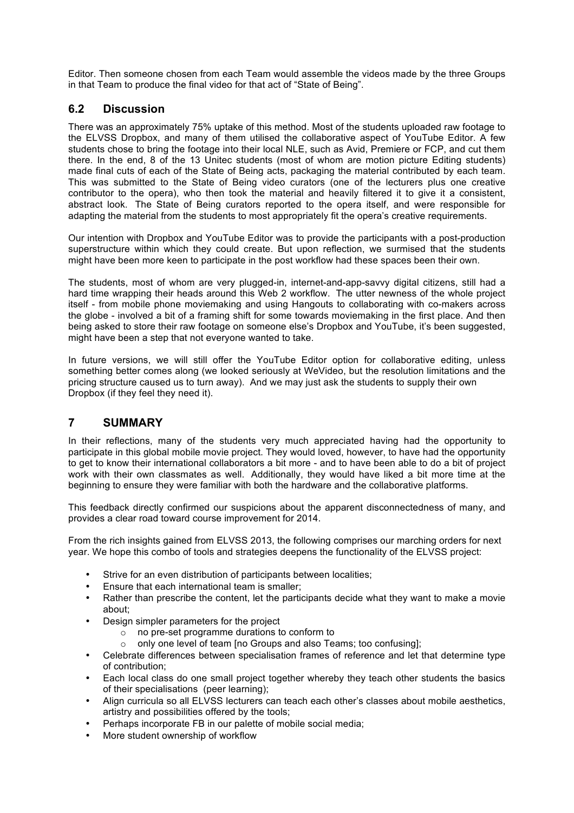Editor. Then someone chosen from each Team would assemble the videos made by the three Groups in that Team to produce the final video for that act of "State of Being".

## **6.2 Discussion**

There was an approximately 75% uptake of this method. Most of the students uploaded raw footage to the ELVSS Dropbox, and many of them utilised the collaborative aspect of YouTube Editor. A few students chose to bring the footage into their local NLE, such as Avid, Premiere or FCP, and cut them there. In the end, 8 of the 13 Unitec students (most of whom are motion picture Editing students) made final cuts of each of the State of Being acts, packaging the material contributed by each team. This was submitted to the State of Being video curators (one of the lecturers plus one creative contributor to the opera), who then took the material and heavily filtered it to give it a consistent, abstract look. The State of Being curators reported to the opera itself, and were responsible for adapting the material from the students to most appropriately fit the opera's creative requirements.

Our intention with Dropbox and YouTube Editor was to provide the participants with a post-production superstructure within which they could create. But upon reflection, we surmised that the students might have been more keen to participate in the post workflow had these spaces been their own.

The students, most of whom are very plugged-in, internet-and-app-savvy digital citizens, still had a hard time wrapping their heads around this Web 2 workflow. The utter newness of the whole project itself - from mobile phone moviemaking and using Hangouts to collaborating with co-makers across the globe - involved a bit of a framing shift for some towards moviemaking in the first place. And then being asked to store their raw footage on someone else's Dropbox and YouTube, it's been suggested, might have been a step that not everyone wanted to take.

In future versions, we will still offer the YouTube Editor option for collaborative editing, unless something better comes along (we looked seriously at WeVideo, but the resolution limitations and the pricing structure caused us to turn away). And we may just ask the students to supply their own Dropbox (if they feel they need it).

### **7 SUMMARY**

In their reflections, many of the students very much appreciated having had the opportunity to participate in this global mobile movie project. They would loved, however, to have had the opportunity to get to know their international collaborators a bit more - and to have been able to do a bit of project work with their own classmates as well. Additionally, they would have liked a bit more time at the beginning to ensure they were familiar with both the hardware and the collaborative platforms.

This feedback directly confirmed our suspicions about the apparent disconnectedness of many, and provides a clear road toward course improvement for 2014.

From the rich insights gained from ELVSS 2013, the following comprises our marching orders for next year. We hope this combo of tools and strategies deepens the functionality of the ELVSS project:

- Strive for an even distribution of participants between localities;
- Ensure that each international team is smaller;
- Rather than prescribe the content, let the participants decide what they want to make a movie about;
- Design simpler parameters for the project
	- o no pre-set programme durations to conform to
	- o only one level of team [no Groups and also Teams; too confusing];
- Celebrate differences between specialisation frames of reference and let that determine type of contribution;
- Each local class do one small project together whereby they teach other students the basics of their specialisations (peer learning);
- Align curricula so all ELVSS lecturers can teach each other's classes about mobile aesthetics, artistry and possibilities offered by the tools;
- Perhaps incorporate FB in our palette of mobile social media;
- More student ownership of workflow